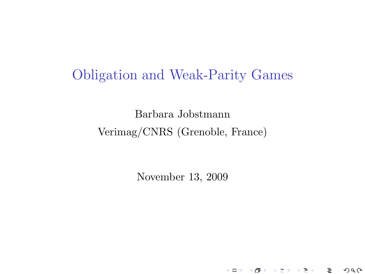# Obligation and Weak-Parity Games

Barbara Jobstmann Verimag/CNRS (Grenoble, France)

<span id="page-0-0"></span>November 13, 2009

《ロ》 《國》 《결》 《理》

重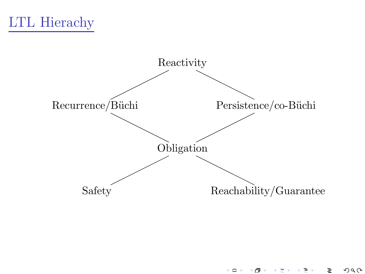



 $290$  $\leftarrow$   $\Box$ 与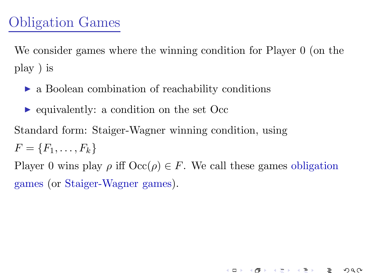We consider games where the winning condition for Player 0 (on the play ) is

- ► a Boolean combination of reachability conditions
- ► equivalently: a condition on the set Occ

Standard form: Staiger-Wagner winning condition, using

 $F = \{F_1, \ldots, F_k\}$ 

Player 0 wins play  $\rho$  iff  $\text{Occ}(\rho) \in F$ . We call these games obligation games (or Staiger-Wagner games).

《ロ》 《御》 《君》 《君》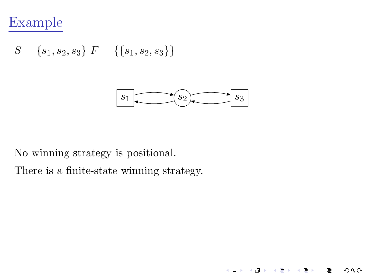

$$
S = \{s_1, s_2, s_3\} \ F = \{\{s_1, s_2, s_3\}\}\
$$



 $\leftarrow$   $\Box$   $\rightarrow$ 

- 4 御 > - 4 差 >

Э×

重

つへへ

No winning strategy is positional.

There is a finite-state winning strategy.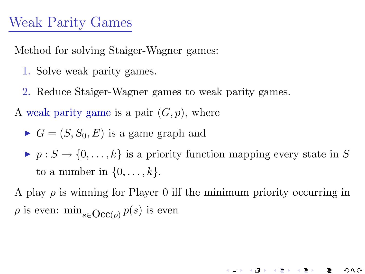# Weak Parity Games

Method for solving Staiger-Wagner games:

- 1. Solve weak parity games.
- 2. Reduce Staiger-Wagner games to weak parity games.

A weak parity game is a pair  $(G, p)$ , where

• 
$$
G = (S, S_0, E)
$$
 is a game graph and

 $\blacktriangleright$   $p : S \to \{0, \ldots, k\}$  is a priority function mapping every state in S to a number in  $\{0, \ldots, k\}$ .

A play  $\rho$  is winning for Player 0 iff the minimum priority occurring in  $\rho$  is even:  $\min_{s \in \text{Occ}(\rho)} p(s)$  is even

《ロ》 《御》 《君》 《君》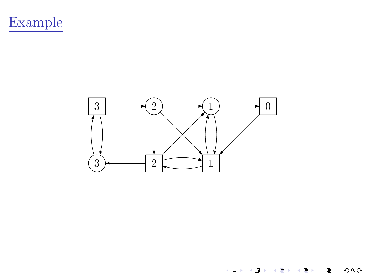



 $\leftarrow$   $\Box$   $\rightarrow$  $\overline{\theta}$ È  $290$ 一本 星 下 **B** +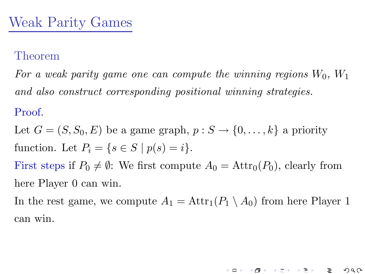For a weak parity game one can compute the winning regions  $W_0$ ,  $W_1$ and also construct corresponding positional winning strategies.

#### Proof.

Let  $G = (S, S_0, E)$  be a game graph,  $p : S \to \{0, \ldots, k\}$  a priority function. Let  $P_i = \{s \in S \mid p(s) = i\}.$ First steps if  $P_0 \neq \emptyset$ : We first compute  $A_0 = \text{Attr}_0(P_0)$ , clearly from

here Player 0 can win.

In the rest game, we compute  $A_1 = \text{Attr}_1(P_1 \setminus A_0)$  from here Player 1 can win.

イロト イ団ト イミトー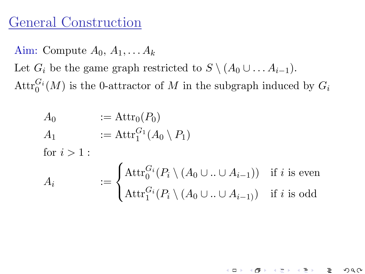# General Construction

Aim: Compute  $A_0, A_1, \ldots, A_k$ Let  $G_i$  be the game graph restricted to  $S \setminus (A_0 \cup \ldots A_{i-1}).$  $\text{Attr}_{0}^{G_i}(M)$  is the 0-attractor of M in the subgraph induced by  $G_i$ 

$$
A_0 := \text{Attr}_0(P_0)
$$
  
\n
$$
A_1 := \text{Attr}_1^{G_1}(A_0 \setminus P_1)
$$
  
\nfor  $i > 1$ :  
\n
$$
A_i := \begin{cases} \text{Attr}_0^{G_i}(P_i \setminus (A_0 \cup .. \cup A_{i-1})) & \text{if } i \text{ is even} \\ \text{Attr}_1^{G_i}(P_i \setminus (A_0 \cup .. \cup A_{i-1})) & \text{if } i \text{ is odd} \end{cases}
$$

K ロ ト K 個 ト K ヨ ト K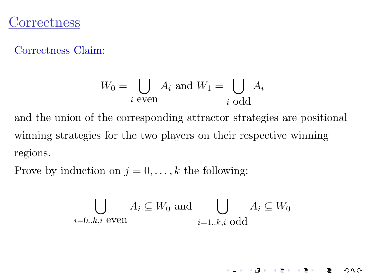## **Correctness**

Correctness Claim:

$$
W_0 = \bigcup_{i \text{ even}} A_i \text{ and } W_1 = \bigcup_{i \text{ odd}} A_i
$$

and the union of the corresponding attractor strategies are positional winning strategies for the two players on their respective winning regions.

Prove by induction on  $j = 0, \ldots, k$  the following:

$$
\bigcup_{i=0..k,i \text{ even}} A_i \subseteq W_0 \text{ and } \bigcup_{i=1..k,i \text{ odd}} A_i \subseteq W_0
$$

イロト イ団ト イヨト イヨト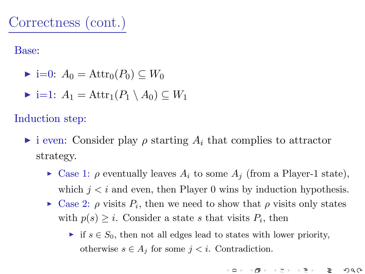Base:

- $\blacktriangleright$  i=0:  $A_0 = \text{Attr}_0(P_0) \subseteq W_0$
- $\blacktriangleright$  i=1:  $A_1 = \text{Attr}_1(P_1 \setminus A_0) \subset W_1$

Induction step:

- $\triangleright$  i even: Consider play  $\rho$  starting  $A_i$  that complies to attractor strategy.
	- $\triangleright$  Case 1:  $\rho$  eventually leaves  $A_i$  to some  $A_j$  (from a Player-1 state), which  $j < i$  and even, then Player 0 wins by induction hypothesis.
	- $\blacktriangleright$  Case 2:  $\rho$  visits  $P_i$ , then we need to show that  $\rho$  visits only states with  $p(s) \geq i$ . Consider a state s that visits  $P_i$ , then
		- ► if  $s \in S_0$ , then not all edges lead to states with lower priority, otherwise  $s \in A_j$  for some  $j < i$ . Contradiction.

《ロ》 《御》 《君》 《君》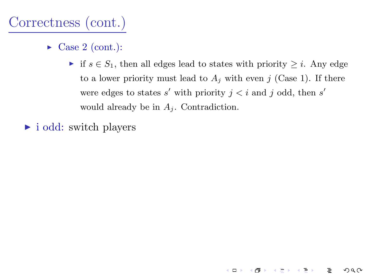# Correctness (cont.)

- $\triangleright$  Case 2 (cont.):
	- ► if  $s \in S_1$ , then all edges lead to states with priority  $\geq i$ . Any edge to a lower priority must lead to  $A_i$  with even j (Case 1). If there were edges to states  $s'$  with priority  $j < i$  and j odd, then  $s'$ would already be in  $A_i$ . Contradiction.

 $\leftarrow$   $\Box$ 

つへへ

► i odd: switch players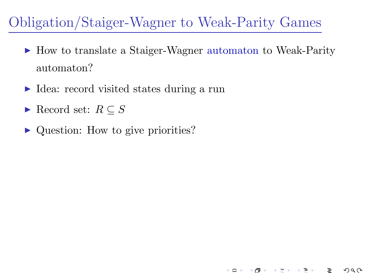# Obligation/Staiger-Wagner to Weak-Parity Games

► How to translate a Staiger-Wagner automaton to Weak-Parity automaton?

4. 0. 3. 4

- ► Idea: record visited states during a run
- Record set:  $R \subseteq S$
- <span id="page-11-0"></span>► Question: How to give priorities?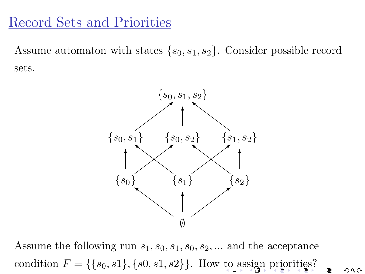## Record Sets and Priorities

Assume automaton with states  $\{s_0, s_1, s_2\}$ . Consider possible record sets.



<span id="page-12-0"></span>Assume the following run  $s_1, s_0, s_1, s_0, s_2, \dots$  and the acceptance condition  $F = \{\{s_0, s_1\}, \{s_0, s_1, s_2\}\}\.$  How [to](#page-11-0) [as](#page-13-0)[si](#page-11-0)[gn](#page-12-0) [pri](#page-0-0)[or](#page-20-0)[itie](#page-0-0)[s?](#page-20-0)

 $290$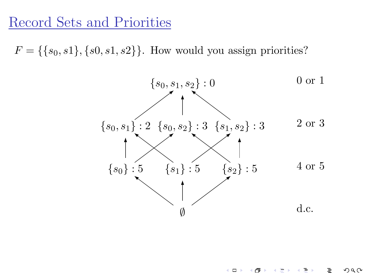# Record Sets and Priorities

<span id="page-13-0"></span> $F = \{\{s_0, s_1\}, \{s_0, s_1, s_2\}\}\.$  How would you assign priorities?



 $\leftarrow$   $\Box$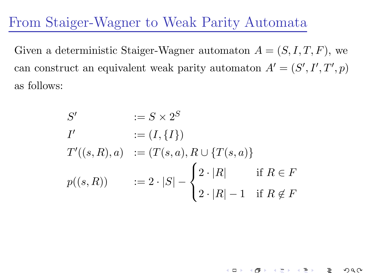## From Staiger-Wagner to Weak Parity Automata

Given a deterministic Staiger-Wagner automaton  $A = (S, I, T, F)$ , we can construct an equivalent weak parity automaton  $A' = (S', I', T', p)$ as follows:

$$
S' := S \times 2^{S}
$$
  
\n
$$
I' := (I, \{I\})
$$
  
\n
$$
T'((s, R), a) := (T(s, a), R \cup \{T(s, a)\}
$$
  
\n
$$
p((s, R)) := 2 \cdot |S| - \begin{cases} 2 \cdot |R| & \text{if } R \in F \\ 2 \cdot |R| - 1 & \text{if } R \notin F \end{cases}
$$

イロト イ母ト イヨト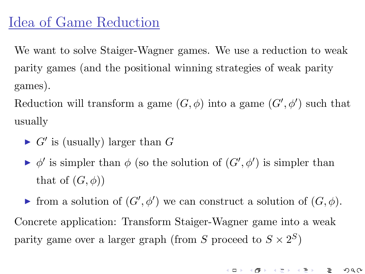# Idea of Game Reduction

We want to solve Staiger-Wagner games. We use a reduction to weak parity games (and the positional winning strategies of weak parity games).

Reduction will transform a game  $(G, \phi)$  into a game  $(G', \phi')$  such that usually

- $\blacktriangleright$  G' is (usually) larger than G
- $\blacktriangleright \phi'$  is simpler than  $\phi$  (so the solution of  $(G', \phi')$  is simpler than that of  $(G, \phi)$

► from a solution of  $(G', \phi')$  we can construct a solution of  $(G, \phi)$ . Concrete application: Transform Staiger-Wagner game into a weak parity game over a larger graph (from S proceed to  $S \times 2^S$ )

《ロ》 《優》 《결》 《理》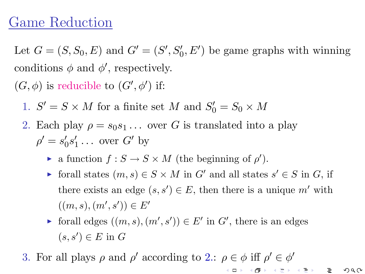# Game Reduction

Let  $G = (S, S_0, E)$  and  $G' = (S', S'_0, E')$  be game graphs with winning conditions  $\phi$  and  $\phi'$ , respectively.

 $(G, \phi)$  is reducible to  $(G', \phi')$  if:

1.  $S' = S \times M$  for a finite set M and  $S'_0 = S_0 \times M$ 

- 2. Each play  $\rho = s_0 s_1 \dots$  over G is translated into a play  $\rho' = s'_0$  $\frac{1}{0}s_1'$  $'_{1} \ldots$  over  $G'$  by
	- a function  $f : S \to S \times M$  (the beginning of  $\rho'$ ).
	- ► forall states  $(m, s) \in S \times M$  in  $G'$  and all states  $s' \in S$  in  $G$ , if there exists an edge  $(s, s') \in E$ , then there is a unique m' with  $((m, s), (m', s')) \in E'$

- ► forall edges  $((m, s), (m', s')) \in E'$  in  $G'$ , there is an edges  $(s, s') \in E$  in G
- 3. For all plays  $\rho$  and  $\rho'$  according to 2.:  $\rho \in \phi$  iff  $\rho' \in \phi'$ 《ロ》 《國》 《道》 《道》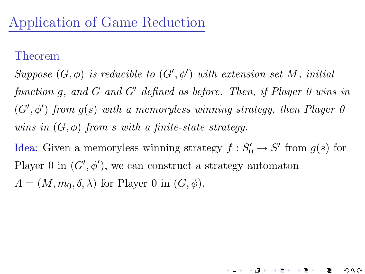Suppose  $(G, \phi)$  is reducible to  $(G', \phi')$  with extension set M, initial function g, and G and G' defined as before. Then, if Player 0 wins in  $(G', \phi')$  from  $g(s)$  with a memoryless winning strategy, then Player 0 wins in  $(G, \phi)$  from s with a finite-state strategy.

Idea: Given a memoryless winning strategy  $f: S'_0 \to S'$  from  $g(s)$  for Player 0 in  $(G', \phi')$ , we can construct a strategy automaton  $A = (M, m_0, \delta, \lambda)$  for Player 0 in  $(G, \phi)$ .

4 **m** F 4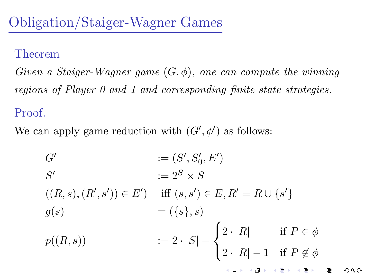Given a Staiger-Wagner game  $(G, \phi)$ , one can compute the winning regions of Player 0 and 1 and corresponding finite state strategies.

### Proof.

We can apply game reduction with  $(G', \phi')$  as follows:

$$
G' := (S', S'_0, E')
$$
  
\n
$$
S' := 2^S \times S
$$
  
\n
$$
((R, s), (R', s')) \in E') \quad \text{iff } (s, s') \in E, R' = R \cup \{s'\}
$$
  
\n
$$
g(s) = (\{s\}, s)
$$
  
\n
$$
p((R, s)) \qquad := 2 \cdot |S| - \begin{cases} 2 \cdot |R| & \text{if } P \in \phi \\ 2 \cdot |R| - 1 & \text{if } P \notin \phi \end{cases}
$$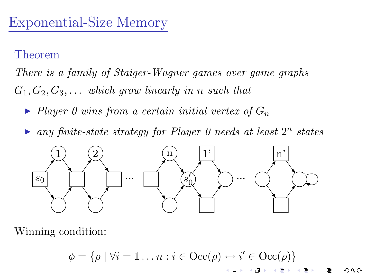There is a family of Staiger-Wagner games over game graphs  $G_1, G_2, G_3, \ldots$  which grow linearly in n such that

- $\blacktriangleright$  Player 0 wins from a certain initial vertex of  $G_n$
- any finite-state strategy for Player 0 needs at least  $2^n$  states



Winning condition:

$$
\phi = \{ \rho \mid \forall i = 1 \dots n : i \in \text{Occ}(\rho) \leftrightarrow i' \in \text{Occ}(\rho) \}
$$